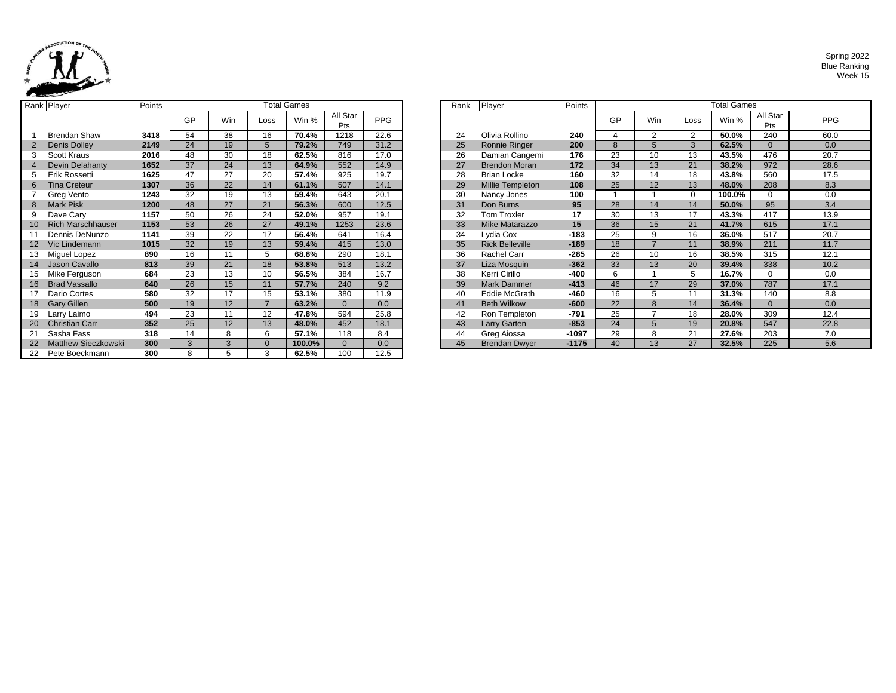

Spring 2022 Blue Ranking Week 15

|                | Rank Player              | Points |    |            |                | Total Games |                 |            | Rank | Player                 | Points  |    |
|----------------|--------------------------|--------|----|------------|----------------|-------------|-----------------|------------|------|------------------------|---------|----|
|                |                          |        | GP | <b>Win</b> | Loss           | Win %       | All Star<br>Pts | <b>PPG</b> |      |                        |         | GF |
|                | <b>Brendan Shaw</b>      | 3418   | 54 | 38         | 16             | 70.4%       | 1218            | 22.6       | 24   | Olivia Rollino         | 240     | 4  |
|                | Denis Dolley             | 2149   | 24 | 19         | 5              | 79.2%       | 749             | 31.2       | 25   | <b>Ronnie Ringer</b>   | 200     | 8  |
| 3              | Scott Kraus              | 2016   | 48 | 30         | 18             | 62.5%       | 816             | 17.0       | 26   | Damian Cangemi         | 176     | 23 |
| $\overline{4}$ | <b>Devin Delahanty</b>   | 1652   | 37 | 24         | 13             | 64.9%       | 552             | 14.9       | 27   | <b>Brendon Moran</b>   | 172     | 34 |
| 5              | Erik Rossetti            | 1625   | 47 | 27         | 20             | 57.4%       | 925             | 19.7       | 28   | <b>Brian Locke</b>     | 160     | 32 |
| 6              | <b>Tina Creteur</b>      | 1307   | 36 | 22         | 14             | 61.1%       | 507             | 14.1       | 29   | Millie Templeton       | 108     | 25 |
|                | Greg Vento               | 1243   | 32 | 19         | 13             | 59.4%       | 643             | 20.1       | 30   | Nancy Jones            | 100     | 1  |
| 8              | <b>Mark Pisk</b>         | 1200   | 48 | 27         | 21             | 56.3%       | 600             | 12.5       | 31   | Don Burns              | 95      | 28 |
| 9              | Dave Cary                | 1157   | 50 | 26         | 24             | 52.0%       | 957             | 19.1       | 32   | Tom Troxler            | 17      | 30 |
| 10             | <b>Rich Marschhauser</b> | 1153   | 53 | 26         | 27             | 49.1%       | 1253            | 23.6       | 33   | Mike Matarazzo         | 15      | 36 |
| 11             | Dennis DeNunzo           | 1141   | 39 | 22         | 17             | 56.4%       | 641             | 16.4       | 34   | Lydia Cox              | $-183$  | 25 |
| 12             | Vic Lindemann            | 1015   | 32 | 19         | 13             | 59.4%       | 415             | 13.0       | 35   | <b>Rick Belleville</b> | $-189$  | 18 |
| 13             | Miguel Lopez             | 890    | 16 | 11         | 5              | 68.8%       | 290             | 18.1       | 36   | Rachel Carr            | $-285$  | 26 |
| 14             | Jason Cavallo            | 813    | 39 | 21         | 18             | 53.8%       | 513             | 13.2       | 37   | Liza Mosquin           | $-362$  | 33 |
| 15             | Mike Ferguson            | 684    | 23 | 13         | 10             | 56.5%       | 384             | 16.7       | 38   | Kerri Cirillo          | -400    | 6  |
| 16             | <b>Brad Vassallo</b>     | 640    | 26 | 15         | 11             | 57.7%       | 240             | 9.2        | 39   | <b>Mark Dammer</b>     | $-413$  | 46 |
| 17             | Dario Cortes             | 580    | 32 | 17         | 15             | 53.1%       | 380             | 11.9       | 40   | Eddie McGrath          | -460    | 16 |
| 18             | <b>Gary Gillen</b>       | 500    | 19 | 12         | $\overline{7}$ | 63.2%       | $\Omega$        | 0.0        | 41   | <b>Beth Wilkow</b>     | $-600$  | 22 |
| 19             | Larry Laimo              | 494    | 23 | 11         | 12             | 47.8%       | 594             | 25.8       | 42   | Ron Templeton          | -791    | 25 |
| 20             | <b>Christian Carr</b>    | 352    | 25 | 12         | 13             | 48.0%       | 452             | 18.1       | 43   | <b>Larry Garten</b>    | $-853$  | 24 |
| 21             | Sasha Fass               | 318    | 14 | 8          | 6              | 57.1%       | 118             | 8.4        | 44   | Greg Aiossa            | $-1097$ | 29 |
| 22             | Matthew Sieczkowski      | 300    | 3  | 3          | $\mathbf{0}$   | 100.0%      | $\mathbf{0}$    | 0.0        | 45   | <b>Brendan Dwyer</b>   | $-1175$ | 40 |
| 22             | Pete Boeckmann           | 300    | 8  | 5          | 3              | 62.5%       | 100             | 12.5       |      |                        |         |    |

|        | ank Player                 | Points |    |     |      | <b>Total Games</b> |                 |            | Rank | Player                  | Points  | <b>Total Games</b> |                 |          |        |                 |            |
|--------|----------------------------|--------|----|-----|------|--------------------|-----------------|------------|------|-------------------------|---------|--------------------|-----------------|----------|--------|-----------------|------------|
|        |                            |        | GP | Win | Loss | Win %              | All Star<br>Pts | <b>PPG</b> |      |                         |         | GP                 | <b>Win</b>      | Loss     | Win %  | All Star<br>Pts | <b>PPG</b> |
|        | <b>Brendan Shaw</b>        | 3418   | 54 | 38  | 16   | 70.4%              | 1218            | 22.6       | 24   | Olivia Rollino          | 240     |                    | $\overline{2}$  | ົ        | 50.0%  | 240             | 60.0       |
|        | Denis Dolley               | 2149   | 24 | 19  | 5    | 79.2%              | 749             | 31.2       | 25   | Ronnie Ringer           | 200     | 8                  |                 | 3        | 62.5%  | $\Omega$        | 0.0        |
| 3      | <b>Scott Kraus</b>         | 2016   | 48 | 30  | 18   | 62.5%              | 816             | 17.0       | 26   | Damian Cangemi          | 176     | 23                 | 10              | 13       | 43.5%  | 476             | 20.7       |
|        | Devin Delahanty            | 1652   | 37 | 24  | 13   | 64.9%              | 552             | 14.9       | 27   | <b>Brendon Moran</b>    | 172     | 34                 | 13              | 21       | 38.2%  | 972             | 28.6       |
|        | Erik Rossetti              | 1625   | 47 | 27  | 20   | 57.4%              | 925             | 19.7       | 28   | <b>Brian Locke</b>      | 160     | 32                 | 14              | 18       | 43.8%  | 560             | 17.5       |
|        | <b>Tina Creteur</b>        | 1307   | 36 | 22  | 14   | 61.1%              | 507             | 14.1       | 29   | <b>Millie Templeton</b> | 108     | 25                 | 12              | 13       | 48.0%  | 208             | 8.3        |
|        | Greg Vento                 | 1243   | 32 | 19  | 13   | 59.4%              | 643             | 20.1       | 30   | Nancy Jones             | 100     |                    |                 | $\Omega$ | 100.0% | $\Omega$        | 0.0        |
| 8      | <b>Mark Pisk</b>           | 1200   | 48 | 27  | 21   | 56.3%              | 600             | 12.5       | 31   | Don Burns               | 95      | 28                 | 14              | 14       | 50.0%  | 95              | 3.4        |
| 9      | Dave Cary                  | 1157   | 50 | 26  | 24   | 52.0%              | 957             | 19.1       | 32   | Tom Troxler             | 17      | 30                 | 13              | 17       | 43.3%  | 417             | 13.9       |
| $10-1$ | <b>Rich Marschhauser</b>   | 1153   | 53 | 26  | 27   | 49.1%              | 1253            | 23.6       | 33   | Mike Matarazzo          | 15      | 36                 | 15              | 21       | 41.7%  | 615             | 17.1       |
|        | Dennis DeNunzo             | 1141   | 39 | 22  | 17   | 56.4%              | 641             | 16.4       | 34   | Lydia Cox               | $-183$  | 25                 | 9               | 16       | 36.0%  | 517             | 20.7       |
|        | 12 Vic Lindemann           | 1015   | 32 | 19  | 13   | 59.4%              | 415             | 13.0       | 35   | <b>Rick Belleville</b>  | $-189$  | 18                 |                 |          | 38.9%  | 211             | 11.7       |
|        | 13 Miguel Lopez            | 890    | 16 | 11  | 5    | 68.8%              | 290             | 18.1       | 36   | Rachel Carr             | $-285$  | 26                 | 10              | 16       | 38.5%  | 315             | 12.1       |
|        | 14 Jason Cavallo           | 813    | 39 | 21  | 18   | 53.8%              | 513             | 13.2       | 37   | Liza Mosquin            | $-362$  | 33                 | 13              | 20       | 39.4%  | 338             | 10.2       |
| 15     | Mike Ferguson              | 684    | 23 | 13  | 10   | 56.5%              | 384             | 16.7       | 38   | Kerri Cirillo           | $-400$  | 6                  |                 | 5        | 16.7%  | $\Omega$        | 0.0        |
| 16     | <b>Brad Vassallo</b>       | 640    | 26 | 15  | 11   | 57.7%              | 240             | 9.2        | 39   | <b>Mark Dammer</b>      | $-413$  | 46                 | 17              | 29       | 37.0%  | 787             | 17.1       |
|        | Dario Cortes               | 580    | 32 | 17  | 15   | 53.1%              | 380             | 11.9       | 40   | Eddie McGrath           | $-460$  | 16                 |                 |          | 31.3%  | 140             | 8.8        |
|        | 18 Gary Gillen             | 500    | 19 | 12  |      | 63.2%              | $\Omega$        | 0.0        | 41   | <b>Beth Wilkow</b>      | $-600$  | 22                 | $\mathsf{R}$    | 14       | 36.4%  | $\Omega$        | 0.0        |
| 19     | Larry Laimo                | 494    | 23 | 11  | 12   | 47.8%              | 594             | 25.8       | 42   | Ron Templeton           | $-791$  | 25                 |                 | 18       | 28.0%  | 309             | 12.4       |
| 20     | <b>Christian Carr</b>      | 352    | 25 | 12  | 13   | 48.0%              | 452             | 18.1       | 43   | Larry Garten            | $-853$  | 24                 | $5\overline{5}$ | 19       | 20.8%  | 547             | 22.8       |
| 21     | Sasha Fass                 | 318    | 14 | 8   | 6    | 57.1%              | 118             | 8.4        | 44   | Greg Aiossa             | $-1097$ | 29                 | 8               | 21       | 27.6%  | 203             | 7.0        |
| 22     | <b>Matthew Sieczkowski</b> | 300    | 3  | 3   |      | 100.0%             |                 | 0.0        | 45   | <b>Brendan Dwyer</b>    | $-1175$ | 40                 | 13              | 27       | 32.5%  | 225             | 5.6        |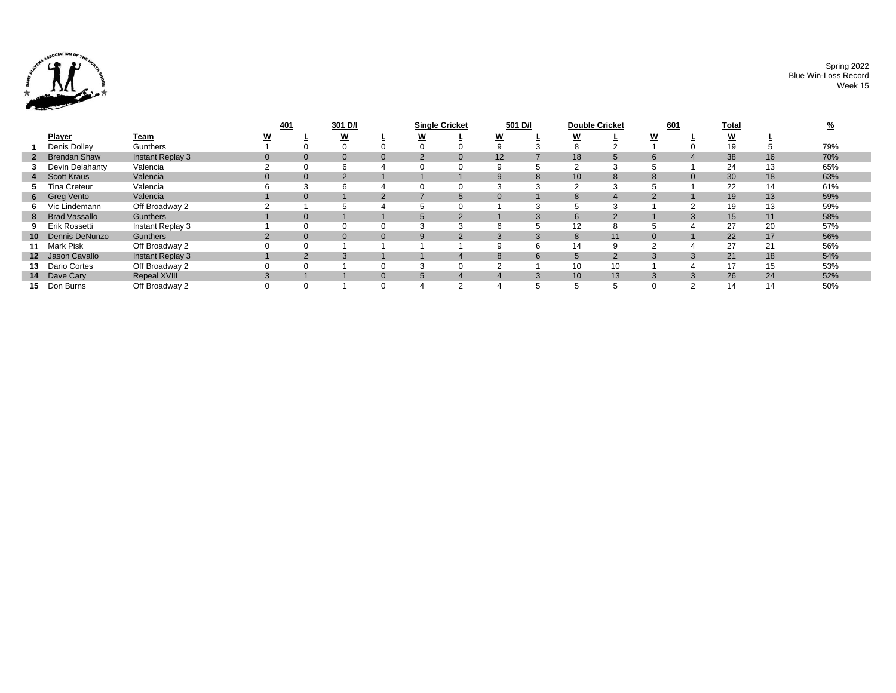

Spring 2022 Blue Win-Loss Record Week 15

|                     |                  | 401 | 301 D/I        |          | <b>Single Cricket</b> |                | 501 D/I  |    | <b>Double Cricket</b> |                | 601           | <b>Total</b> |    |    |     |
|---------------------|------------------|-----|----------------|----------|-----------------------|----------------|----------|----|-----------------------|----------------|---------------|--------------|----|----|-----|
| <b>Player</b>       | <u>Team</u>      | W   | W              |          | W                     |                | <u>w</u> |    | <u>w</u>              |                | w             |              | W  |    |     |
| Denis Dolley        | Gunthers         |     |                |          |                       |                |          |    |                       |                |               |              |    |    | 79% |
| 2 Brendan Shaw      | Instant Replay 3 |     | $\mathbf{0}$   | $\Omega$ |                       | $\Omega$       | 12       |    | 18                    | $\mathcal{D}$  | 6             |              | 38 | 16 | 70% |
| 3 Devin Delahanty   | Valencia         |     | 6              | 4        |                       |                | 9        |    |                       | 3              |               |              | 24 | 13 | 65% |
| 4 Scott Kraus       | Valencia         |     | $\overline{2}$ |          |                       |                | 9        | 8  | 10                    | 8              | 8             |              | 30 | 18 | 63% |
| <b>Tina Creteur</b> | Valencia         |     | 6              |          |                       |                | ົ        |    |                       | 3              |               |              | 22 | 14 | 61% |
| 6 Greg Vento        | Valencia         |     |                |          |                       | 5              |          |    |                       | 4              |               |              | 19 | 13 | 59% |
| 6 Vic Lindemann     | Off Broadway 2   |     |                |          |                       |                |          |    |                       | ົ              |               |              | 19 | 13 | 59% |
| 8 Brad Vassallo     | Gunthers         |     |                |          |                       | $\Omega$       |          |    | $\sigma$              | $\overline{2}$ |               |              | 15 | 11 | 58% |
| 9 Erik Rossetti     | Instant Replay 3 |     | $\Omega$       |          |                       | $\cdot$        | 6        |    | 12                    | 8              |               |              | 27 | 20 | 57% |
| 10 Dennis DeNunzo   | Gunthers         |     | $\mathbf{0}$   | $\Omega$ |                       | $\overline{2}$ | 3        | 3  | 8                     | 11             | $\Omega$      |              | 22 | 17 | 56% |
| 11 Mark Pisk        | Off Broadway 2   |     |                |          |                       |                | 9        | 6  | 14                    | 9              | っ             |              | 27 | 21 | 56% |
| 12 Jason Cavallo    | Instant Replay 3 |     |                |          |                       |                | 8        | 6  |                       | 2              | $\mathcal{B}$ |              | 21 | 18 | 54% |
| 13 Dario Cortes     | Off Broadway 2   |     |                |          |                       |                | ◠        |    | 10                    | 10             |               |              | 17 | 15 | 53% |
| 14 Dave Cary        | Repeal XVIII     |     |                | $\Omega$ | 5                     | 4              |          |    | 10                    | 13             | 3             |              | 26 | 24 | 52% |
| 15 Don Burns        | Off Broadway 2   |     |                |          |                       | $\sim$         |          | 5. |                       | 5              | $\Omega$      |              | 14 | 14 | 50% |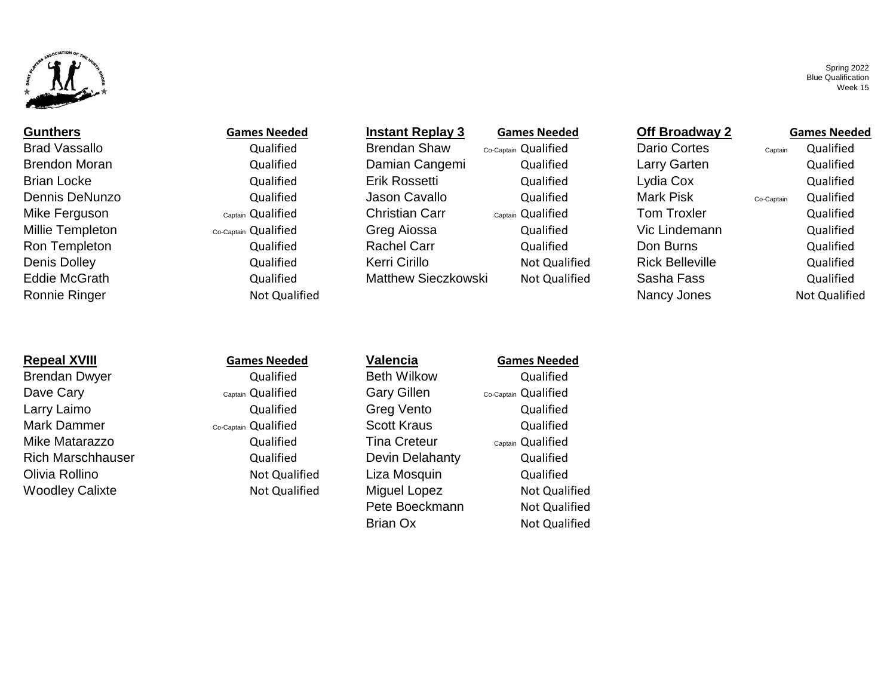

Brad Vassallo **Brad Contes and Aust Cualified** Brendan Shaw <sub>Co-Captain</sub> Qualified Dario Cortes Captain Qualified Ronnie Ringer **Nancy Jones Not Designed According to the Connect According Connect According Nancy Jones Not Qualified** 

# **Repeal XVIII Games Needed Valencia Games Needed**

Dave Cary **Cary Captain Qualified** Gary Gillen Co-Captain Qualified Larry Laimo **Calified** Greg Vento Qualified Greg Vento Mark Dammer **Co-Captain Qualified** Scott Kraus Cualified Cualified Mike Matarazzo **Mike Matarazzo** Qualified Tina Creteur Captain Qualified Rich Marschhauser Qualified Devin Delahanty Qualified Olivia Rollino Not Qualified Liza Mosquin Qualified Woodley Calixte **Not Cualified** Miguel Lopez Not Qualified Miguel Lopez Not Qualified

Brendan Dwyer **Constructed Beth Wilkow** Qualified Beth Wilkow Qualified

Brendon Moran Qualified Damian Cangemi Qualified Larry Garten Qualified Brian Locke Qualified Erik Rossetti Qualified Lydia Cox Qualified Dennis DeNunzo Qualified Jason Cavallo Qualified Mark Pisk co-Captain Qualified Mike Ferguson Captain Qualified Christian Carr Captain Qualified Tom Troxler Qualified Millie Templeton **Co-Captain Qualified** Greg Aiossa **Concernant Co-Captain Qualified** Greg Aiossa Qualified Vic Lindemann Qualified Ron Templeton **Rachel Carr** Cualified **Rachel Carr** Cualified Cualified Don Burns Qualified Qualified Denis Dolley **Canadia Contained Cualified** Kerri Cirillo **Not Qualified Rick Belleville** Rick Belleville Qualified Eddie McGrath Qualified Matthew Sieczkowski Not Qualified Sasha Fass Qualified

Pete Boeckmann Not Qualified Brian Ox Not Qualified

## **Gunthers Games Needed Instant Replay 3 Games Needed Off Broadway 2 Games Needed**

Spring 2022 Blue Qualification Week 15